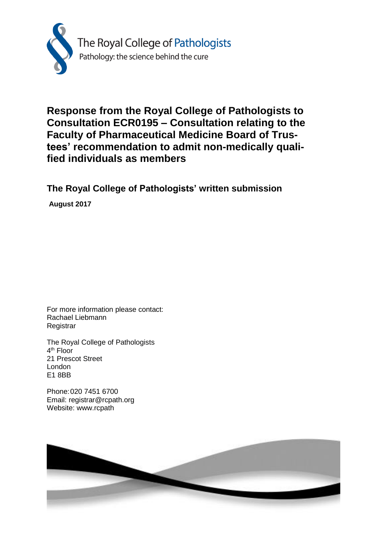

# **Response from the Royal College of Pathologists to Consultation ECR0195 – Consultation relating to the Faculty of Pharmaceutical Medicine Board of Trustees' recommendation to admit non-medically qualified individuals as members**

**The Royal College of Pathologists' written submission**

**August 2017**

For more information please contact: Rachael Liebmann **Registrar** 

The Royal College of Pathologists 4<sup>th</sup> Floor 21 Prescot Street London E1 8BB

Phone:020 7451 6700 Email: registrar@rcpath.org Website: www.rcpath

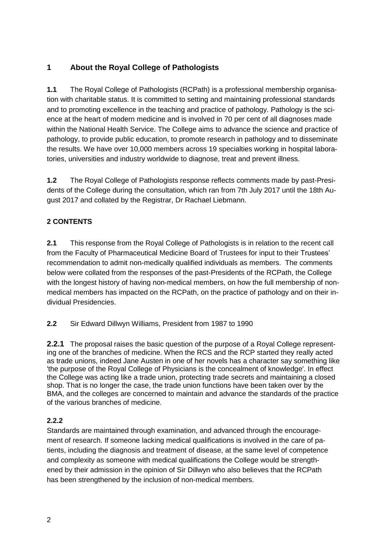## **1 About the Royal College of Pathologists**

**1.1** The Royal College of Pathologists (RCPath) is a professional membership organisation with charitable status. It is committed to setting and maintaining professional standards and to promoting excellence in the teaching and practice of pathology. Pathology is the science at the heart of modern medicine and is involved in 70 per cent of all diagnoses made within the National Health Service. The College aims to advance the science and practice of pathology, to provide public education, to promote research in pathology and to disseminate the results. We have over 10,000 members across 19 specialties working in hospital laboratories, universities and industry worldwide to diagnose, treat and prevent illness.

**1.2** The Royal College of Pathologists response reflects comments made by past-Presidents of the College during the consultation, which ran from 7th July 2017 until the 18th August 2017 and collated by the Registrar, Dr Rachael Liebmann.

## **2 CONTENTS**

**2.1** This response from the Royal College of Pathologists is in relation to the recent call from the Faculty of Pharmaceutical Medicine Board of Trustees for input to their Trustees' recommendation to admit non-medically qualified individuals as members. The comments below were collated from the responses of the past-Presidents of the RCPath, the College with the longest history of having non-medical members, on how the full membership of nonmedical members has impacted on the RCPath, on the practice of pathology and on their individual Presidencies.

## **2.2** Sir Edward Dillwyn Williams, President from 1987 to 1990

**2.2.1** The proposal raises the basic question of the purpose of a Royal College representing one of the branches of medicine. When the RCS and the RCP started they really acted as trade unions, indeed Jane Austen in one of her novels has a character say something like 'the purpose of the Royal College of Physicians is the concealment of knowledge'. In effect the College was acting like a trade union, protecting trade secrets and maintaining a closed shop. That is no longer the case, the trade union functions have been taken over by the BMA, and the colleges are concerned to maintain and advance the standards of the practice of the various branches of medicine.

## **2.2.2**

Standards are maintained through examination, and advanced through the encouragement of research. If someone lacking medical qualifications is involved in the care of patients, including the diagnosis and treatment of disease, at the same level of competence and complexity as someone with medical qualifications the College would be strengthened by their admission in the opinion of Sir Dillwyn who also believes that the RCPath has been strengthened by the inclusion of non-medical members.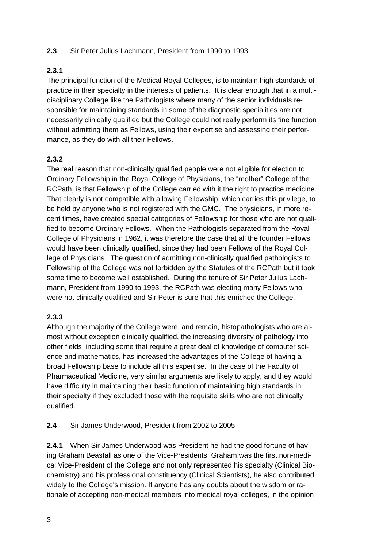#### **2.3** Sir Peter Julius Lachmann, President from 1990 to 1993.

## **2.3.1**

The principal function of the Medical Royal Colleges, is to maintain high standards of practice in their specialty in the interests of patients. It is clear enough that in a multidisciplinary College like the Pathologists where many of the senior individuals responsible for maintaining standards in some of the diagnostic specialities are not necessarily clinically qualified but the College could not really perform its fine function without admitting them as Fellows, using their expertise and assessing their performance, as they do with all their Fellows.

## **2.3.2**

The real reason that non-clinically qualified people were not eligible for election to Ordinary Fellowship in the Royal College of Physicians, the "mother" College of the RCPath, is that Fellowship of the College carried with it the right to practice medicine. That clearly is not compatible with allowing Fellowship, which carries this privilege, to be held by anyone who is not registered with the GMC. The physicians, in more recent times, have created special categories of Fellowship for those who are not qualified to become Ordinary Fellows. When the Pathologists separated from the Royal College of Physicians in 1962, it was therefore the case that all the founder Fellows would have been clinically qualified, since they had been Fellows of the Royal College of Physicians. The question of admitting non-clinically qualified pathologists to Fellowship of the College was not forbidden by the Statutes of the RCPath but it took some time to become well established. During the tenure of Sir Peter Julius Lachmann, President from 1990 to 1993, the RCPath was electing many Fellows who were not clinically qualified and Sir Peter is sure that this enriched the College.

## **2.3.3**

Although the majority of the College were, and remain, histopathologists who are almost without exception clinically qualified, the increasing diversity of pathology into other fields, including some that require a great deal of knowledge of computer science and mathematics, has increased the advantages of the College of having a broad Fellowship base to include all this expertise. In the case of the Faculty of Pharmaceutical Medicine, very similar arguments are likely to apply, and they would have difficulty in maintaining their basic function of maintaining high standards in their specialty if they excluded those with the requisite skills who are not clinically qualified.

**2.4** Sir James Underwood, President from 2002 to 2005

**2.4.1** When Sir James Underwood was President he had the good fortune of having Graham Beastall as one of the Vice-Presidents. Graham was the first non-medical Vice-President of the College and not only represented his specialty (Clinical Biochemistry) and his professional constituency (Clinical Scientists), he also contributed widely to the College's mission. If anyone has any doubts about the wisdom or rationale of accepting non-medical members into medical royal colleges, in the opinion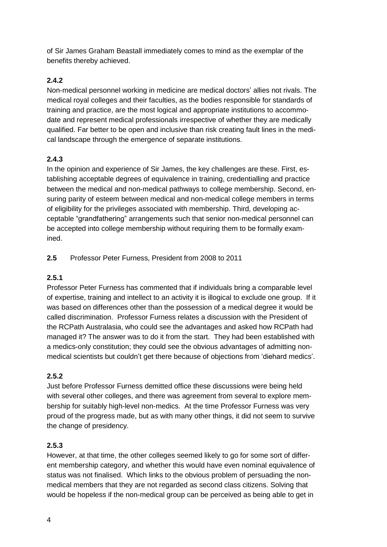of Sir James Graham Beastall immediately comes to mind as the exemplar of the benefits thereby achieved.

## **2.4.2**

Non-medical personnel working in medicine are medical doctors' allies not rivals. The medical royal colleges and their faculties, as the bodies responsible for standards of training and practice, are the most logical and appropriate institutions to accommodate and represent medical professionals irrespective of whether they are medically qualified. Far better to be open and inclusive than risk creating fault lines in the medical landscape through the emergence of separate institutions.

## **2.4.3**

In the opinion and experience of Sir James, the key challenges are these. First, establishing acceptable degrees of equivalence in training, credentialling and practice between the medical and non-medical pathways to college membership. Second, ensuring parity of esteem between medical and non-medical college members in terms of eligibility for the privileges associated with membership. Third, developing acceptable "grandfathering" arrangements such that senior non-medical personnel can be accepted into college membership without requiring them to be formally examined.

## **2.5** Professor Peter Furness, President from 2008 to 2011

## **2.5.1**

Professor Peter Furness has commented that if individuals bring a comparable level of expertise, training and intellect to an activity it is illogical to exclude one group. If it was based on differences other than the possession of a medical degree it would be called discrimination. Professor Furness relates a discussion with the President of the RCPath Australasia, who could see the advantages and asked how RCPath had managed it? The answer was to do it from the start. They had been established with a medics-only constitution; they could see the obvious advantages of admitting nonmedical scientists but couldn't get there because of objections from 'diehard medics'.

## **2.5.2**

Just before Professor Furness demitted office these discussions were being held with several other colleges, and there was agreement from several to explore membership for suitably high-level non-medics. At the time Professor Furness was very proud of the progress made, but as with many other things, it did not seem to survive the change of presidency.

## **2.5.3**

However, at that time, the other colleges seemed likely to go for some sort of different membership category, and whether this would have even nominal equivalence of status was not finalised. Which links to the obvious problem of persuading the nonmedical members that they are not regarded as second class citizens. Solving that would be hopeless if the non-medical group can be perceived as being able to get in